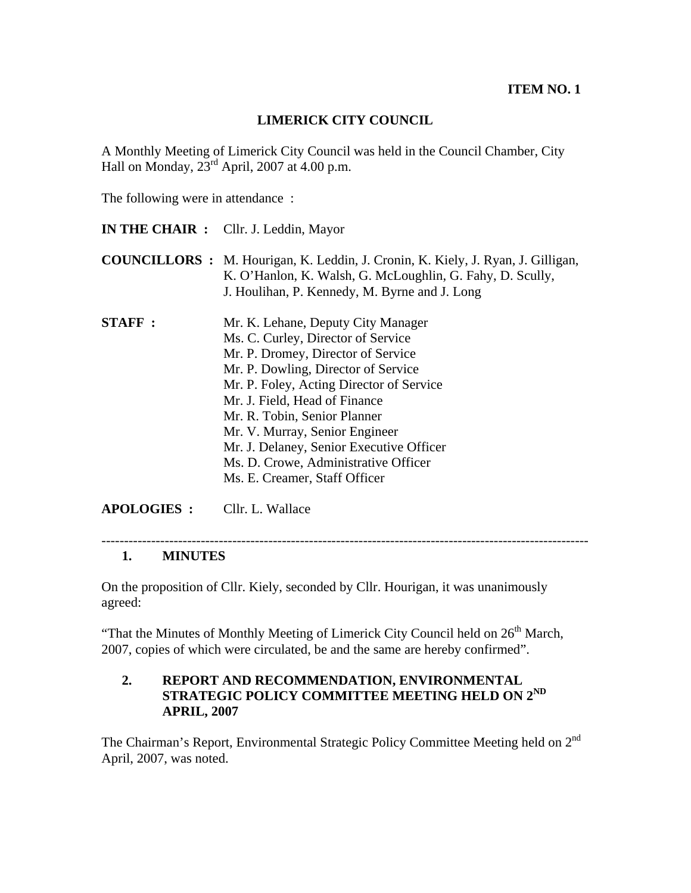### **LIMERICK CITY COUNCIL**

A Monthly Meeting of Limerick City Council was held in the Council Chamber, City Hall on Monday,  $23^{\text{rd}}$  April, 2007 at 4.00 p.m.

The following were in attendance :

- **IN THE CHAIR :** Cllr. J. Leddin, Mayor
- **COUNCILLORS :** M. Hourigan, K. Leddin, J. Cronin, K. Kiely, J. Ryan, J. Gilligan, K. O'Hanlon, K. Walsh, G. McLoughlin, G. Fahy, D. Scully, J. Houlihan, P. Kennedy, M. Byrne and J. Long
- **STAFF :** Mr. K. Lehane, Deputy City Manager Ms. C. Curley, Director of Service Mr. P. Dromey, Director of Service Mr. P. Dowling, Director of Service Mr. P. Foley, Acting Director of Service Mr. J. Field, Head of Finance Mr. R. Tobin, Senior Planner Mr. V. Murray, Senior Engineer Mr. J. Delaney, Senior Executive Officer Ms. D. Crowe, Administrative Officer Ms. E. Creamer, Staff Officer

**APOLOGIES :** Cllr. L. Wallace

------------------------------------------------------------------------------------------------------------

#### **1. MINUTES**

On the proposition of Cllr. Kiely, seconded by Cllr. Hourigan, it was unanimously agreed:

"That the Minutes of Monthly Meeting of Limerick City Council held on  $26<sup>th</sup>$  March, 2007, copies of which were circulated, be and the same are hereby confirmed".

### **2. REPORT AND RECOMMENDATION, ENVIRONMENTAL STRATEGIC POLICY COMMITTEE MEETING HELD ON 2ND APRIL, 2007**

The Chairman's Report, Environmental Strategic Policy Committee Meeting held on 2<sup>nd</sup> April, 2007, was noted.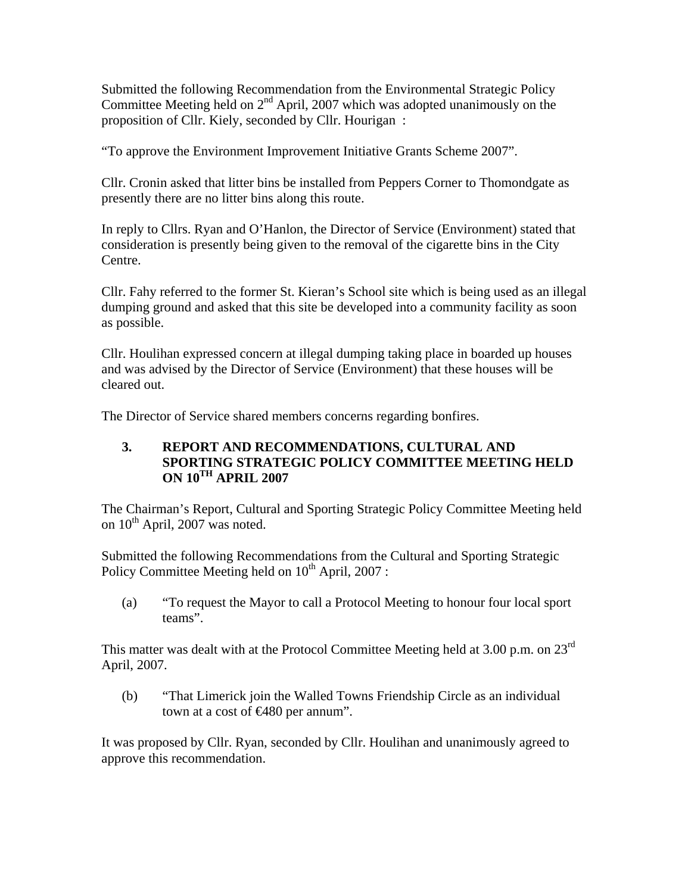Submitted the following Recommendation from the Environmental Strategic Policy Committee Meeting held on  $2<sup>nd</sup>$  April, 2007 which was adopted unanimously on the proposition of Cllr. Kiely, seconded by Cllr. Hourigan :

"To approve the Environment Improvement Initiative Grants Scheme 2007".

Cllr. Cronin asked that litter bins be installed from Peppers Corner to Thomondgate as presently there are no litter bins along this route.

In reply to Cllrs. Ryan and O'Hanlon, the Director of Service (Environment) stated that consideration is presently being given to the removal of the cigarette bins in the City Centre.

Cllr. Fahy referred to the former St. Kieran's School site which is being used as an illegal dumping ground and asked that this site be developed into a community facility as soon as possible.

Cllr. Houlihan expressed concern at illegal dumping taking place in boarded up houses and was advised by the Director of Service (Environment) that these houses will be cleared out.

The Director of Service shared members concerns regarding bonfires.

### **3. REPORT AND RECOMMENDATIONS, CULTURAL AND SPORTING STRATEGIC POLICY COMMITTEE MEETING HELD ON 10TH APRIL 2007**

The Chairman's Report, Cultural and Sporting Strategic Policy Committee Meeting held on  $10^{th}$  April, 2007 was noted.

Submitted the following Recommendations from the Cultural and Sporting Strategic Policy Committee Meeting held on  $10^{th}$  April, 2007 :

(a) "To request the Mayor to call a Protocol Meeting to honour four local sport teams".

This matter was dealt with at the Protocol Committee Meeting held at 3.00 p.m. on  $23^{\text{rd}}$ April, 2007.

(b) "That Limerick join the Walled Towns Friendship Circle as an individual town at a cost of €480 per annum".

It was proposed by Cllr. Ryan, seconded by Cllr. Houlihan and unanimously agreed to approve this recommendation.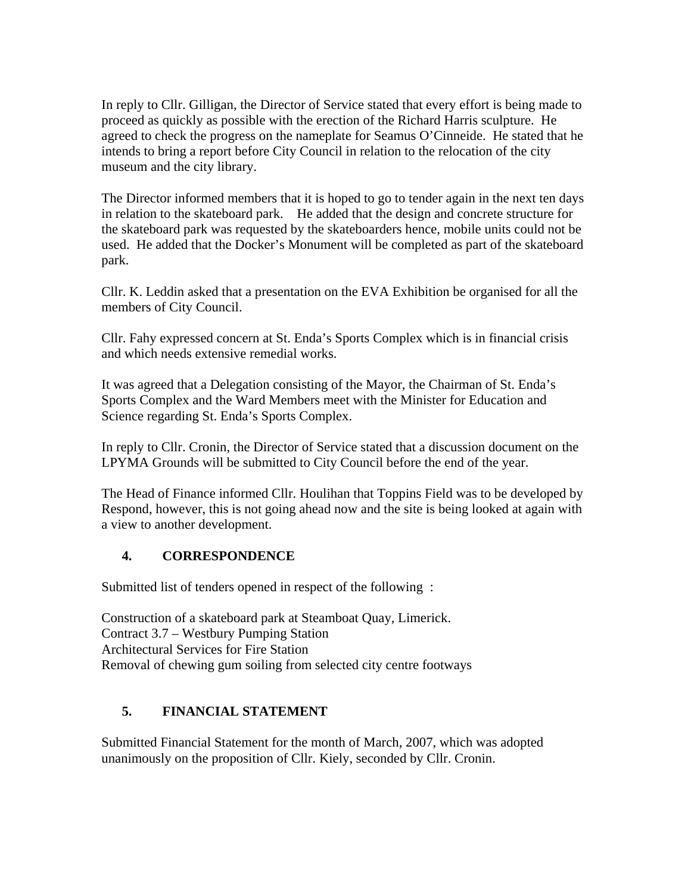In reply to Cllr. Gilligan, the Director of Service stated that every effort is being made to proceed as quickly as possible with the erection of the Richard Harris sculpture. He agreed to check the progress on the nameplate for Seamus O'Cinneide. He stated that he intends to bring a report before City Council in relation to the relocation of the city museum and the city library.

The Director informed members that it is hoped to go to tender again in the next ten days in relation to the skateboard park. He added that the design and concrete structure for the skateboard park was requested by the skateboarders hence, mobile units could not be used. He added that the Docker's Monument will be completed as part of the skateboard park.

Cllr. K. Leddin asked that a presentation on the EVA Exhibition be organised for all the members of City Council.

Cllr. Fahy expressed concern at St. Enda's Sports Complex which is in financial crisis and which needs extensive remedial works.

It was agreed that a Delegation consisting of the Mayor, the Chairman of St. Enda's Sports Complex and the Ward Members meet with the Minister for Education and Science regarding St. Enda's Sports Complex.

In reply to Cllr. Cronin, the Director of Service stated that a discussion document on the LPYMA Grounds will be submitted to City Council before the end of the year.

The Head of Finance informed Cllr. Houlihan that Toppins Field was to be developed by Respond, however, this is not going ahead now and the site is being looked at again with a view to another development.

### **4. CORRESPONDENCE**

Submitted list of tenders opened in respect of the following :

Construction of a skateboard park at Steamboat Quay, Limerick. Contract 3.7 – Westbury Pumping Station Architectural Services for Fire Station Removal of chewing gum soiling from selected city centre footways

### **5. FINANCIAL STATEMENT**

Submitted Financial Statement for the month of March, 2007, which was adopted unanimously on the proposition of Cllr. Kiely, seconded by Cllr. Cronin.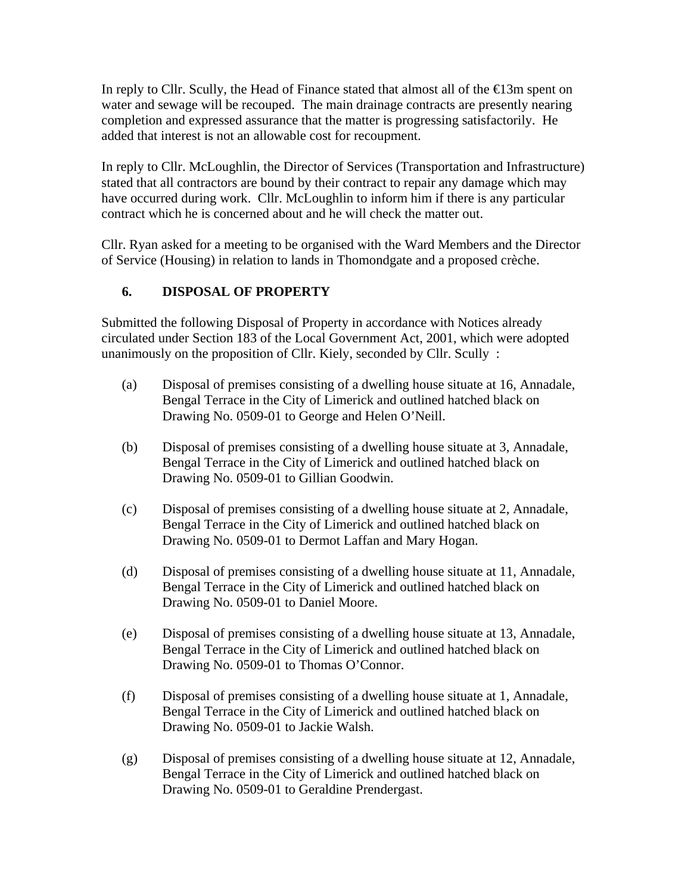In reply to Cllr. Scully, the Head of Finance stated that almost all of the  $\bigoplus$ 3m spent on water and sewage will be recouped. The main drainage contracts are presently nearing completion and expressed assurance that the matter is progressing satisfactorily. He added that interest is not an allowable cost for recoupment.

In reply to Cllr. McLoughlin, the Director of Services (Transportation and Infrastructure) stated that all contractors are bound by their contract to repair any damage which may have occurred during work. Cllr. McLoughlin to inform him if there is any particular contract which he is concerned about and he will check the matter out.

Cllr. Ryan asked for a meeting to be organised with the Ward Members and the Director of Service (Housing) in relation to lands in Thomondgate and a proposed crèche.

## **6. DISPOSAL OF PROPERTY**

Submitted the following Disposal of Property in accordance with Notices already circulated under Section 183 of the Local Government Act, 2001, which were adopted unanimously on the proposition of Cllr. Kiely, seconded by Cllr. Scully :

- (a) Disposal of premises consisting of a dwelling house situate at 16, Annadale, Bengal Terrace in the City of Limerick and outlined hatched black on Drawing No. 0509-01 to George and Helen O'Neill.
- (b) Disposal of premises consisting of a dwelling house situate at 3, Annadale, Bengal Terrace in the City of Limerick and outlined hatched black on Drawing No. 0509-01 to Gillian Goodwin.
- (c) Disposal of premises consisting of a dwelling house situate at 2, Annadale, Bengal Terrace in the City of Limerick and outlined hatched black on Drawing No. 0509-01 to Dermot Laffan and Mary Hogan.
- (d) Disposal of premises consisting of a dwelling house situate at 11, Annadale, Bengal Terrace in the City of Limerick and outlined hatched black on Drawing No. 0509-01 to Daniel Moore.
- (e) Disposal of premises consisting of a dwelling house situate at 13, Annadale, Bengal Terrace in the City of Limerick and outlined hatched black on Drawing No. 0509-01 to Thomas O'Connor.
- (f) Disposal of premises consisting of a dwelling house situate at 1, Annadale, Bengal Terrace in the City of Limerick and outlined hatched black on Drawing No. 0509-01 to Jackie Walsh.
- (g) Disposal of premises consisting of a dwelling house situate at 12, Annadale, Bengal Terrace in the City of Limerick and outlined hatched black on Drawing No. 0509-01 to Geraldine Prendergast.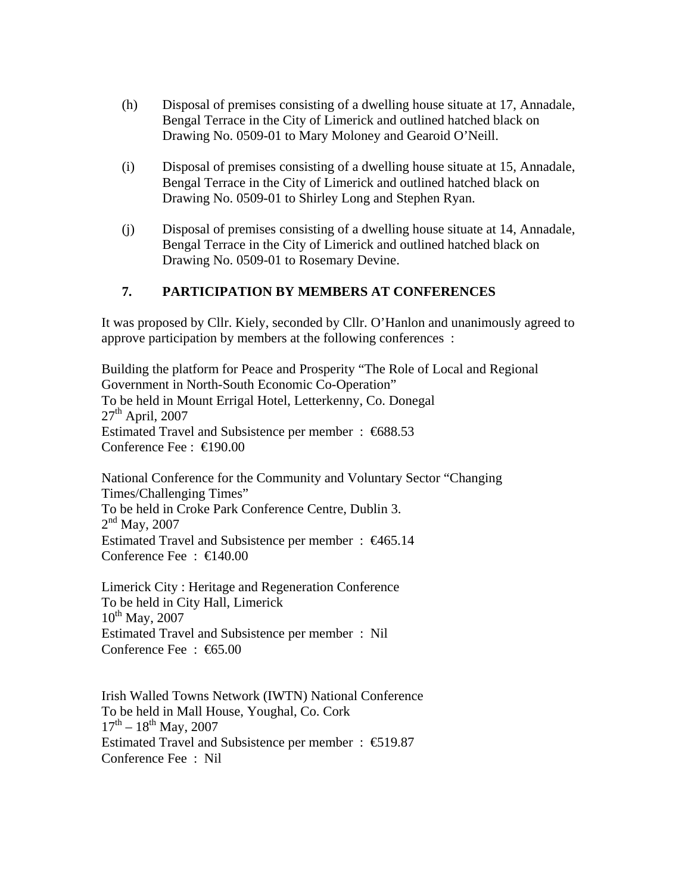- (h) Disposal of premises consisting of a dwelling house situate at 17, Annadale, Bengal Terrace in the City of Limerick and outlined hatched black on Drawing No. 0509-01 to Mary Moloney and Gearoid O'Neill.
- (i) Disposal of premises consisting of a dwelling house situate at 15, Annadale, Bengal Terrace in the City of Limerick and outlined hatched black on Drawing No. 0509-01 to Shirley Long and Stephen Ryan.
- (j) Disposal of premises consisting of a dwelling house situate at 14, Annadale, Bengal Terrace in the City of Limerick and outlined hatched black on Drawing No. 0509-01 to Rosemary Devine.

### **7. PARTICIPATION BY MEMBERS AT CONFERENCES**

It was proposed by Cllr. Kiely, seconded by Cllr. O'Hanlon and unanimously agreed to approve participation by members at the following conferences :

Building the platform for Peace and Prosperity "The Role of Local and Regional Government in North-South Economic Co-Operation" To be held in Mount Errigal Hotel, Letterkenny, Co. Donegal  $27<sup>th</sup>$  April, 2007 Estimated Travel and Subsistence per member : €688.53 Conference Fee : €190.00

National Conference for the Community and Voluntary Sector "Changing Times/Challenging Times" To be held in Croke Park Conference Centre, Dublin 3.  $2<sup>nd</sup>$  May, 2007 Estimated Travel and Subsistence per member : €465.14 Conference Fee : €140.00

Limerick City : Heritage and Regeneration Conference To be held in City Hall, Limerick  $10^{th}$  May, 2007 Estimated Travel and Subsistence per member : Nil Conference Fee : €65.00

Irish Walled Towns Network (IWTN) National Conference To be held in Mall House, Youghal, Co. Cork  $17^{th} - 18^{th}$  May, 2007 Estimated Travel and Subsistence per member :  $\epsilon$  519.87 Conference Fee : Nil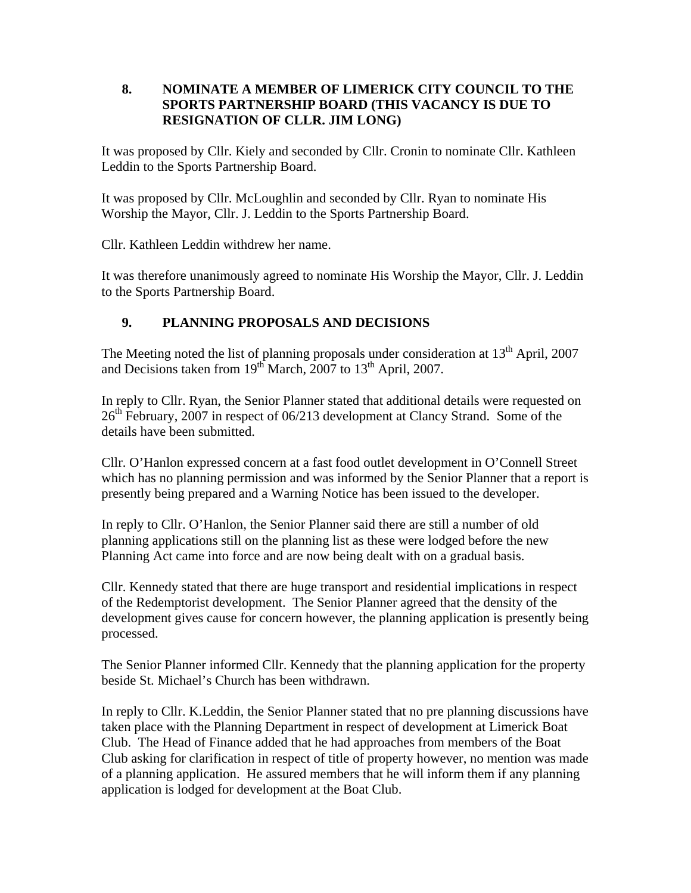### **8. NOMINATE A MEMBER OF LIMERICK CITY COUNCIL TO THE SPORTS PARTNERSHIP BOARD (THIS VACANCY IS DUE TO RESIGNATION OF CLLR. JIM LONG)**

It was proposed by Cllr. Kiely and seconded by Cllr. Cronin to nominate Cllr. Kathleen Leddin to the Sports Partnership Board.

It was proposed by Cllr. McLoughlin and seconded by Cllr. Ryan to nominate His Worship the Mayor, Cllr. J. Leddin to the Sports Partnership Board.

Cllr. Kathleen Leddin withdrew her name.

It was therefore unanimously agreed to nominate His Worship the Mayor, Cllr. J. Leddin to the Sports Partnership Board.

# **9. PLANNING PROPOSALS AND DECISIONS**

The Meeting noted the list of planning proposals under consideration at  $13<sup>th</sup>$  April, 2007 and Decisions taken from  $19<sup>th</sup>$  March, 2007 to  $13<sup>th</sup>$  April, 2007.

In reply to Cllr. Ryan, the Senior Planner stated that additional details were requested on  $26<sup>th</sup>$  February, 2007 in respect of 06/213 development at Clancy Strand. Some of the details have been submitted.

Cllr. O'Hanlon expressed concern at a fast food outlet development in O'Connell Street which has no planning permission and was informed by the Senior Planner that a report is presently being prepared and a Warning Notice has been issued to the developer.

In reply to Cllr. O'Hanlon, the Senior Planner said there are still a number of old planning applications still on the planning list as these were lodged before the new Planning Act came into force and are now being dealt with on a gradual basis.

Cllr. Kennedy stated that there are huge transport and residential implications in respect of the Redemptorist development. The Senior Planner agreed that the density of the development gives cause for concern however, the planning application is presently being processed.

The Senior Planner informed Cllr. Kennedy that the planning application for the property beside St. Michael's Church has been withdrawn.

In reply to Cllr. K.Leddin, the Senior Planner stated that no pre planning discussions have taken place with the Planning Department in respect of development at Limerick Boat Club. The Head of Finance added that he had approaches from members of the Boat Club asking for clarification in respect of title of property however, no mention was made of a planning application. He assured members that he will inform them if any planning application is lodged for development at the Boat Club.